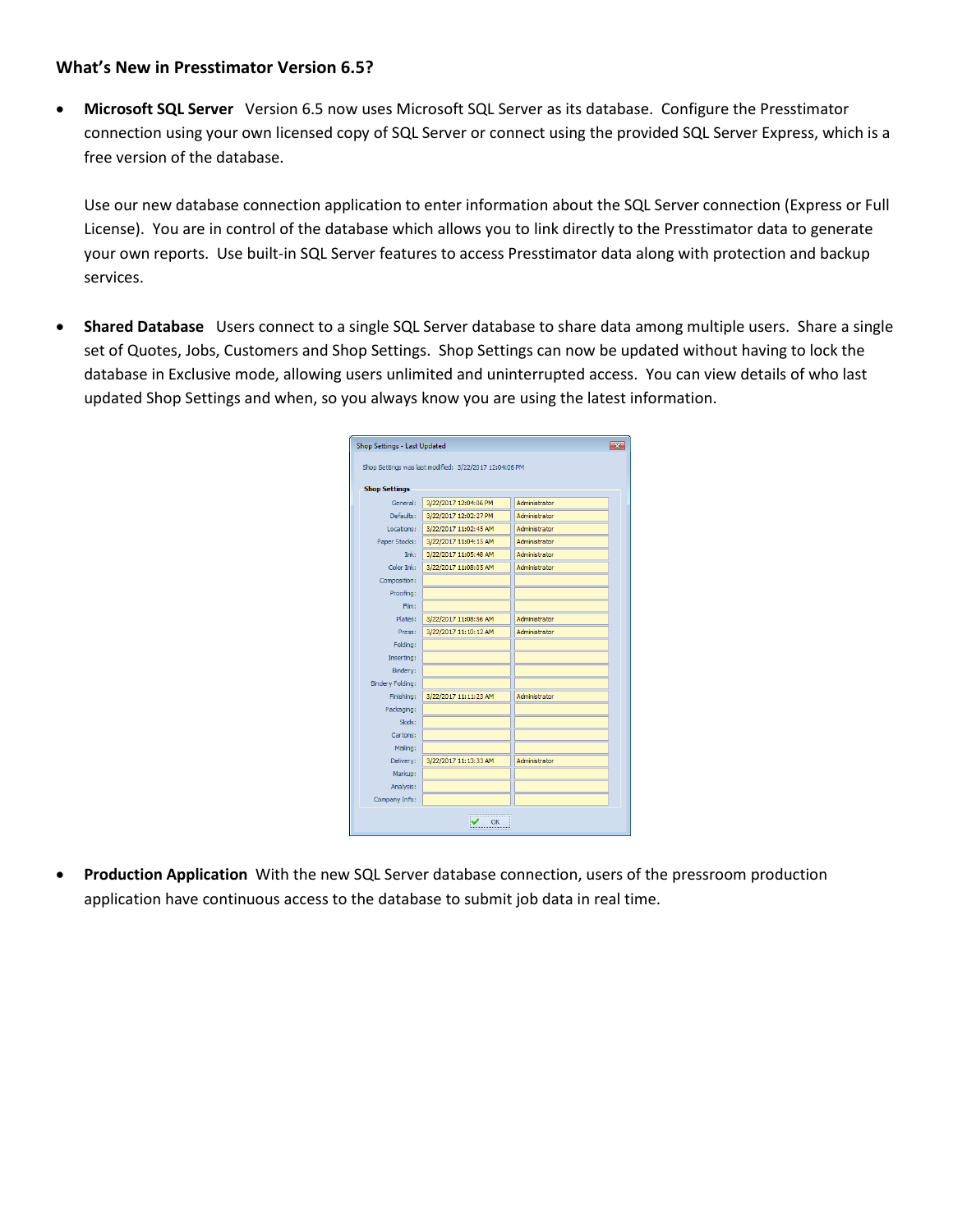## **What's New in Presstimator Version 6.5?**

 **Microsoft SQL Server** Version 6.5 now uses Microsoft SQL Server as its database. Configure the Presstimator connection using your own licensed copy of SQL Server or connect using the provided SQL Server Express, which is a free version of the database.

Use our new database connection application to enter information about the SQL Server connection (Express or Full License). You are in control of the database which allows you to link directly to the Presstimator data to generate your own reports. Use built-in SQL Server features to access Presstimator data along with protection and backup services.

 **Shared Database** Users connect to a single SQL Server database to share data among multiple users. Share a single set of Quotes, Jobs, Customers and Shop Settings. Shop Settings can now be updated without having to lock the database in Exclusive mode, allowing users unlimited and uninterrupted access. You can view details of who last updated Shop Settings and when, so you always know you are using the latest information.

| Shop Settings - Last Updated<br>$23 -$ |                                                        |               |  |  |  |  |  |  |  |  |  |
|----------------------------------------|--------------------------------------------------------|---------------|--|--|--|--|--|--|--|--|--|
|                                        | Shop Settings was last modified: 3/22/2017 12:04:06 PM |               |  |  |  |  |  |  |  |  |  |
|                                        |                                                        |               |  |  |  |  |  |  |  |  |  |
| <b>Shop Settings</b>                   |                                                        |               |  |  |  |  |  |  |  |  |  |
| General:                               | 3/22/2017 12:04:06 PM                                  | Administrator |  |  |  |  |  |  |  |  |  |
| Defaults:                              | 3/22/2017 12:02:27 PM                                  | Administrator |  |  |  |  |  |  |  |  |  |
| Locations:                             | 3/22/2017 11:02:45 AM                                  | Administrator |  |  |  |  |  |  |  |  |  |
| Paper Stocks:                          | 3/22/2017 11:04:15 AM                                  | Administrator |  |  |  |  |  |  |  |  |  |
| Tnk:                                   | 3/22/2017 11:05:48 AM                                  | Administrator |  |  |  |  |  |  |  |  |  |
| Color Tak:                             | 3/22/2017 11:08:05 AM                                  | Administrator |  |  |  |  |  |  |  |  |  |
| Composition:                           |                                                        |               |  |  |  |  |  |  |  |  |  |
| Proofing:                              |                                                        |               |  |  |  |  |  |  |  |  |  |
| Film:                                  |                                                        |               |  |  |  |  |  |  |  |  |  |
| Plates:                                | 3/22/2017 11:08:56 AM                                  | Administrator |  |  |  |  |  |  |  |  |  |
| Press:                                 | 3/22/2017 11:10:12 AM                                  | Administrator |  |  |  |  |  |  |  |  |  |
| Folding:                               |                                                        |               |  |  |  |  |  |  |  |  |  |
| Inserting:                             |                                                        |               |  |  |  |  |  |  |  |  |  |
| Binder v:                              |                                                        |               |  |  |  |  |  |  |  |  |  |
| <b>Bindery Folding:</b>                |                                                        |               |  |  |  |  |  |  |  |  |  |
| Finishing:                             | 3/22/2017 11:11:23 AM                                  | Administrator |  |  |  |  |  |  |  |  |  |
| Packaging:                             |                                                        |               |  |  |  |  |  |  |  |  |  |
| Skids:                                 |                                                        |               |  |  |  |  |  |  |  |  |  |
| Cartons:                               |                                                        |               |  |  |  |  |  |  |  |  |  |
| Mailing:                               |                                                        |               |  |  |  |  |  |  |  |  |  |
| Delivery:                              | 3/22/2017 11:13:33 AM                                  | Administrator |  |  |  |  |  |  |  |  |  |
| Markup:                                |                                                        |               |  |  |  |  |  |  |  |  |  |
| Analysis:                              |                                                        |               |  |  |  |  |  |  |  |  |  |
| Company Info:                          |                                                        |               |  |  |  |  |  |  |  |  |  |
|                                        |                                                        |               |  |  |  |  |  |  |  |  |  |
|                                        | ОК                                                     |               |  |  |  |  |  |  |  |  |  |
|                                        |                                                        |               |  |  |  |  |  |  |  |  |  |

 **Production Application** With the new SQL Server database connection, users of the pressroom production application have continuous access to the database to submit job data in real time.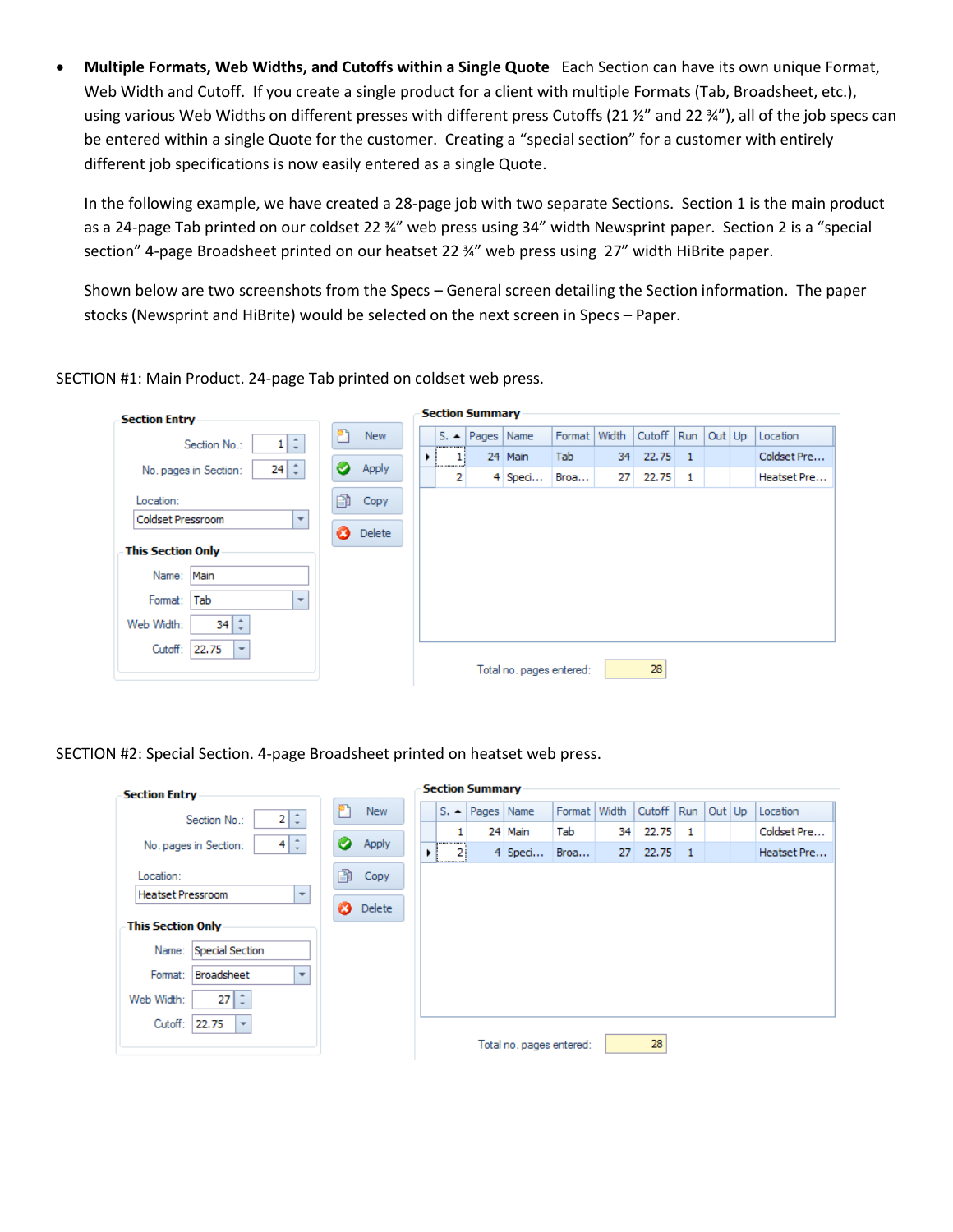**Multiple Formats, Web Widths, and Cutoffs within a Single Quote** Each Section can have its own unique Format, Web Width and Cutoff. If you create a single product for a client with multiple Formats (Tab, Broadsheet, etc.), using various Web Widths on different presses with different press Cutoffs (21 %" and 22 %"), all of the job specs can be entered within a single Quote for the customer. Creating a "special section" for a customer with entirely different job specifications is now easily entered as a single Quote.

In the following example, we have created a 28-page job with two separate Sections. Section 1 is the main product as a 24-page Tab printed on our coldset 22 ¾" web press using 34" width Newsprint paper. Section 2 is a "special section" 4-page Broadsheet printed on our heatset 22 %" web press using 27" width HiBrite paper.

Shown below are two screenshots from the Specs – General screen detailing the Section information. The paper stocks (Newsprint and HiBrite) would be selected on the next screen in Specs – Paper.

 $\sim$   $\sim$   $\sim$ 

SECTION #1: Main Product. 24-page Tab printed on coldset web press.

| <b>Section Entry</b>                          |               | Section Summary |  |   |                       |                          |                |    |        |                |        |             |
|-----------------------------------------------|---------------|-----------------|--|---|-----------------------|--------------------------|----------------|----|--------|----------------|--------|-------------|
| 1   ‡<br>Section No.:                         | <b>New</b>    |                 |  |   | $S.$ A   Pages   Name |                          | Format   Width |    | Cutoff | Run            | Out Up | Location    |
|                                               |               | ٠               |  |   |                       | 24 Main                  | Tab            | 34 | 22.75  | $\overline{1}$ |        | Coldset Pre |
| $24 \div$<br>No. pages in Section:            | Apply         |                 |  | 2 |                       | 4 Speci                  | Broa           | 27 | 22.75  | 1              |        | Heatset Pre |
| Location:                                     | n<br>Copy     |                 |  |   |                       |                          |                |    |        |                |        |             |
| Coldset Pressroom<br>$\overline{\phantom{a}}$ | <b>Delete</b> |                 |  |   |                       |                          |                |    |        |                |        |             |
| <b>This Section Only</b>                      |               |                 |  |   |                       |                          |                |    |        |                |        |             |
| Main<br>Name:                                 |               |                 |  |   |                       |                          |                |    |        |                |        |             |
| Tab<br>Format:<br>$\overline{\mathbf{v}}$     |               |                 |  |   |                       |                          |                |    |        |                |        |             |
| $34 \div$<br>Web Width:                       |               |                 |  |   |                       |                          |                |    |        |                |        |             |
| Cutoff:<br>22.75<br>$\overline{\phantom{a}}$  |               |                 |  |   |                       |                          |                |    |        |                |        |             |
|                                               |               |                 |  |   |                       | Total no. pages entered: |                |    | 28     |                |        |             |

SECTION #2: Special Section. 4-page Broadsheet printed on heatset web press.

| 2 z <br>Section No.:<br>$4 \div$<br>No. pages in Section:<br>R<br>Location: | <b>New</b><br>Apply | ٠ |   | $S.$ A   Pages   Name<br>24 Main |                          | Format Width |    | Cutoff   Run |              | Out Up | Location    |
|-----------------------------------------------------------------------------|---------------------|---|---|----------------------------------|--------------------------|--------------|----|--------------|--------------|--------|-------------|
|                                                                             |                     |   |   |                                  |                          |              |    |              |              |        |             |
|                                                                             |                     |   |   |                                  |                          | Tab          | 34 | 22.75        | 1            |        | Coldset Pre |
|                                                                             |                     |   | 2 |                                  | 4 Speci                  | Broa         | 27 | 22.75        | $\mathbf{1}$ |        | Heatset Pre |
|                                                                             | Copy                |   |   |                                  |                          |              |    |              |              |        |             |
| <b>Heatset Pressroom</b><br>$\overline{\phantom{a}}$                        | <b>Delete</b>       |   |   |                                  |                          |              |    |              |              |        |             |
| This Section Only                                                           |                     |   |   |                                  |                          |              |    |              |              |        |             |
| Special Section<br>Name:                                                    |                     |   |   |                                  |                          |              |    |              |              |        |             |
| Format:<br><b>Broadsheet</b><br>$\overline{\mathbf{v}}$                     |                     |   |   |                                  |                          |              |    |              |              |        |             |
| $27 \div$<br>Web Width:                                                     |                     |   |   |                                  |                          |              |    |              |              |        |             |
| Cutoff:<br>22.75<br>$\overline{\phantom{a}}$                                |                     |   |   |                                  | Total no. pages entered: |              |    | 28           |              |        |             |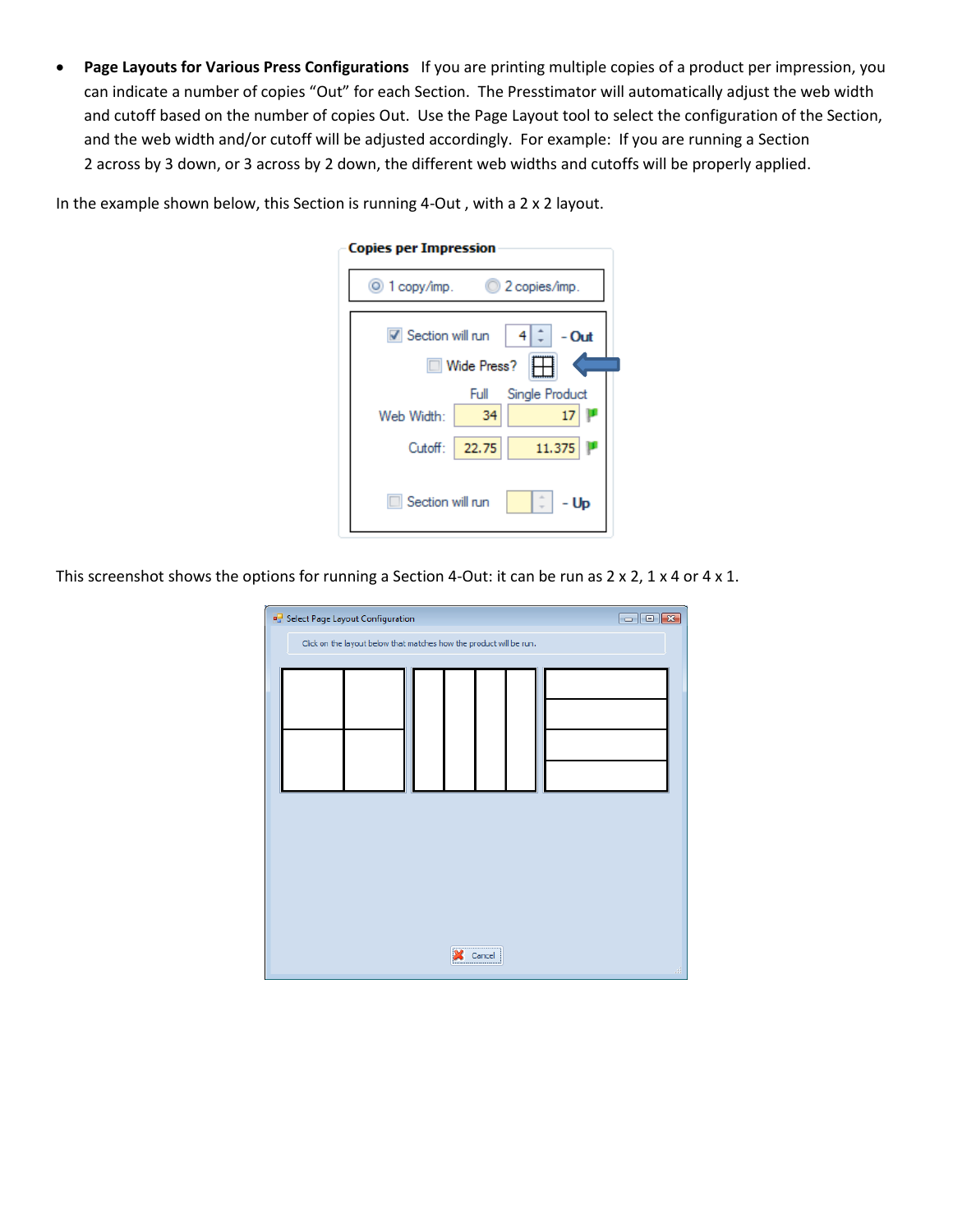**Page Layouts for Various Press Configurations** If you are printing multiple copies of a product per impression, you can indicate a number of copies "Out" for each Section. The Presstimator will automatically adjust the web width and cutoff based on the number of copies Out. Use the Page Layout tool to select the configuration of the Section, and the web width and/or cutoff will be adjusted accordingly. For example: If you are running a Section 2 across by 3 down, or 3 across by 2 down, the different web widths and cutoffs will be properly applied.

| <b>Copies per Impression</b>                  |  |  |  |  |  |  |  |  |  |  |  |
|-----------------------------------------------|--|--|--|--|--|--|--|--|--|--|--|
| ◎ 1 copy/imp. ◎ 2 copies/imp.                 |  |  |  |  |  |  |  |  |  |  |  |
| Section will run<br>4<br>- Out<br>Wide Press? |  |  |  |  |  |  |  |  |  |  |  |
| Single Product<br>Full                        |  |  |  |  |  |  |  |  |  |  |  |
| 34<br>17<br>Web Width:                        |  |  |  |  |  |  |  |  |  |  |  |
| 11.375<br>Cutoff:   22.75                     |  |  |  |  |  |  |  |  |  |  |  |
| Section will run<br>- Up                      |  |  |  |  |  |  |  |  |  |  |  |

In the example shown below, this Section is running 4-Out , with a 2 x 2 layout.

This screenshot shows the options for running a Section 4-Out: it can be run as 2 x 2, 1 x 4 or 4 x 1.

| $\Box$ $\Box$ $\times$<br><b>B</b> Select Page Layout Configuration |  |                                                                     |  |  |          |  |  |  |           |  |  |
|---------------------------------------------------------------------|--|---------------------------------------------------------------------|--|--|----------|--|--|--|-----------|--|--|
|                                                                     |  | Click on the layout below that matches how the product will be run. |  |  |          |  |  |  |           |  |  |
|                                                                     |  |                                                                     |  |  |          |  |  |  |           |  |  |
|                                                                     |  |                                                                     |  |  |          |  |  |  |           |  |  |
|                                                                     |  |                                                                     |  |  |          |  |  |  |           |  |  |
|                                                                     |  |                                                                     |  |  |          |  |  |  |           |  |  |
|                                                                     |  |                                                                     |  |  |          |  |  |  |           |  |  |
|                                                                     |  |                                                                     |  |  |          |  |  |  |           |  |  |
|                                                                     |  |                                                                     |  |  |          |  |  |  |           |  |  |
|                                                                     |  |                                                                     |  |  |          |  |  |  |           |  |  |
|                                                                     |  |                                                                     |  |  |          |  |  |  |           |  |  |
|                                                                     |  |                                                                     |  |  |          |  |  |  |           |  |  |
|                                                                     |  |                                                                     |  |  |          |  |  |  |           |  |  |
|                                                                     |  |                                                                     |  |  |          |  |  |  |           |  |  |
|                                                                     |  |                                                                     |  |  | <br>ance |  |  |  | $\hat{H}$ |  |  |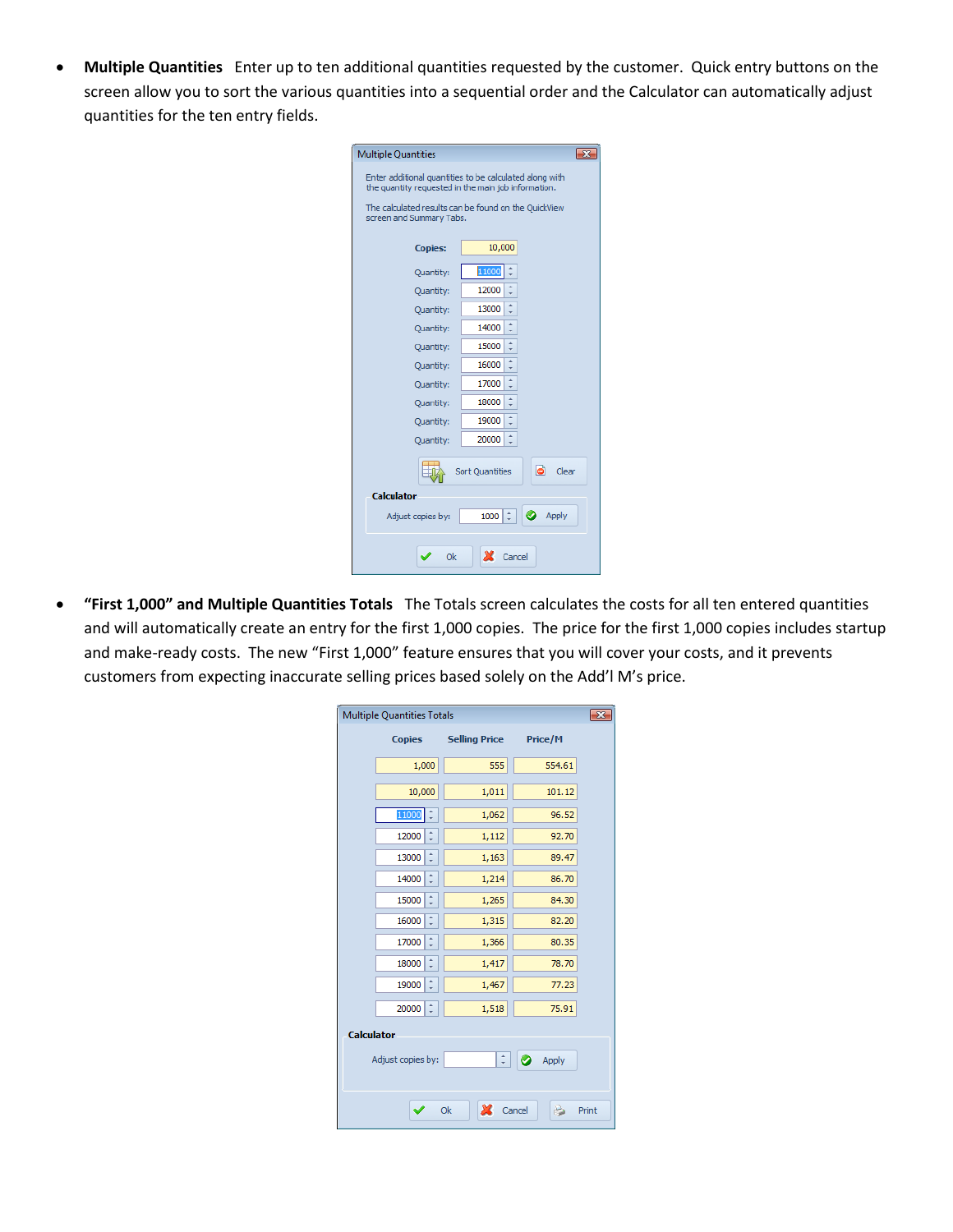**Multiple Quantities** Enter up to ten additional quantities requested by the customer. Quick entry buttons on the screen allow you to sort the various quantities into a sequential order and the Calculator can automatically adjust quantities for the ten entry fields.

| <b>Multiple Quantities</b>                                                                                     |               |  |  |  |  |  |  |  |  |  |  |
|----------------------------------------------------------------------------------------------------------------|---------------|--|--|--|--|--|--|--|--|--|--|
| Enter additional quantities to be calculated along with<br>the quantity requested in the main job information. |               |  |  |  |  |  |  |  |  |  |  |
| The calculated results can be found on the QuickView<br>screen and Summary Tabs.                               |               |  |  |  |  |  |  |  |  |  |  |
| <b>Copies:</b>                                                                                                 | 10,000        |  |  |  |  |  |  |  |  |  |  |
| Quantity:                                                                                                      | 11000         |  |  |  |  |  |  |  |  |  |  |
| Quantity:                                                                                                      | 12000         |  |  |  |  |  |  |  |  |  |  |
| Quantity:                                                                                                      | 13000         |  |  |  |  |  |  |  |  |  |  |
| 14000<br>Quantity:                                                                                             |               |  |  |  |  |  |  |  |  |  |  |
| 15000<br>Quantity:                                                                                             |               |  |  |  |  |  |  |  |  |  |  |
| 16000<br>Quantity:                                                                                             |               |  |  |  |  |  |  |  |  |  |  |
| Quantity:                                                                                                      | 17000         |  |  |  |  |  |  |  |  |  |  |
| Quantity:                                                                                                      | 18000         |  |  |  |  |  |  |  |  |  |  |
| Quantity:                                                                                                      | 19000         |  |  |  |  |  |  |  |  |  |  |
| Quantity:                                                                                                      | 20000         |  |  |  |  |  |  |  |  |  |  |
| clear<br><b>Sort Quantities</b>                                                                                |               |  |  |  |  |  |  |  |  |  |  |
| Calculator                                                                                                     |               |  |  |  |  |  |  |  |  |  |  |
| Adjust copies by:                                                                                              | Apply<br>1000 |  |  |  |  |  |  |  |  |  |  |
| Ok                                                                                                             | Cancel        |  |  |  |  |  |  |  |  |  |  |

 **"First 1,000" and Multiple Quantities Totals** The Totals screen calculates the costs for all ten entered quantities and will automatically create an entry for the first 1,000 copies. The price for the first 1,000 copies includes startup and make-ready costs. The new "First 1,000" feature ensures that you will cover your costs, and it prevents customers from expecting inaccurate selling prices based solely on the Add'l M's price.

| <b>Multiple Quantities Totals</b> |                            |                       |        |       |  |  |  |  |  |  |  |
|-----------------------------------|----------------------------|-----------------------|--------|-------|--|--|--|--|--|--|--|
|                                   | <b>Copies</b>              | Selling Price Price/M |        |       |  |  |  |  |  |  |  |
|                                   | 1,000                      | 555                   | 554.61 |       |  |  |  |  |  |  |  |
|                                   | 10,000                     | 1,011                 | 101.12 |       |  |  |  |  |  |  |  |
|                                   | 11000                      | 1,062                 | 96.52  |       |  |  |  |  |  |  |  |
|                                   | 12000                      | 1,112                 | 92.70  |       |  |  |  |  |  |  |  |
|                                   | 13000                      | 1,163                 | 89.47  |       |  |  |  |  |  |  |  |
|                                   | 14000                      | 1,214                 | 86.70  |       |  |  |  |  |  |  |  |
|                                   | 15000                      | 1,265                 | 84.30  |       |  |  |  |  |  |  |  |
|                                   | 16000                      | 1,315                 | 82.20  |       |  |  |  |  |  |  |  |
|                                   | 17000                      | 1,366                 | 80.35  |       |  |  |  |  |  |  |  |
|                                   | 18000                      | 1,417                 | 78.70  |       |  |  |  |  |  |  |  |
|                                   | 19000                      | 1,467                 | 77.23  |       |  |  |  |  |  |  |  |
|                                   | 20000                      | 1,518                 | 75.91  |       |  |  |  |  |  |  |  |
|                                   | <b>Calculator</b>          |                       |        |       |  |  |  |  |  |  |  |
|                                   | Adjust copies by:<br>Apply |                       |        |       |  |  |  |  |  |  |  |
|                                   |                            | X Cancel<br>Ok        | b      | Print |  |  |  |  |  |  |  |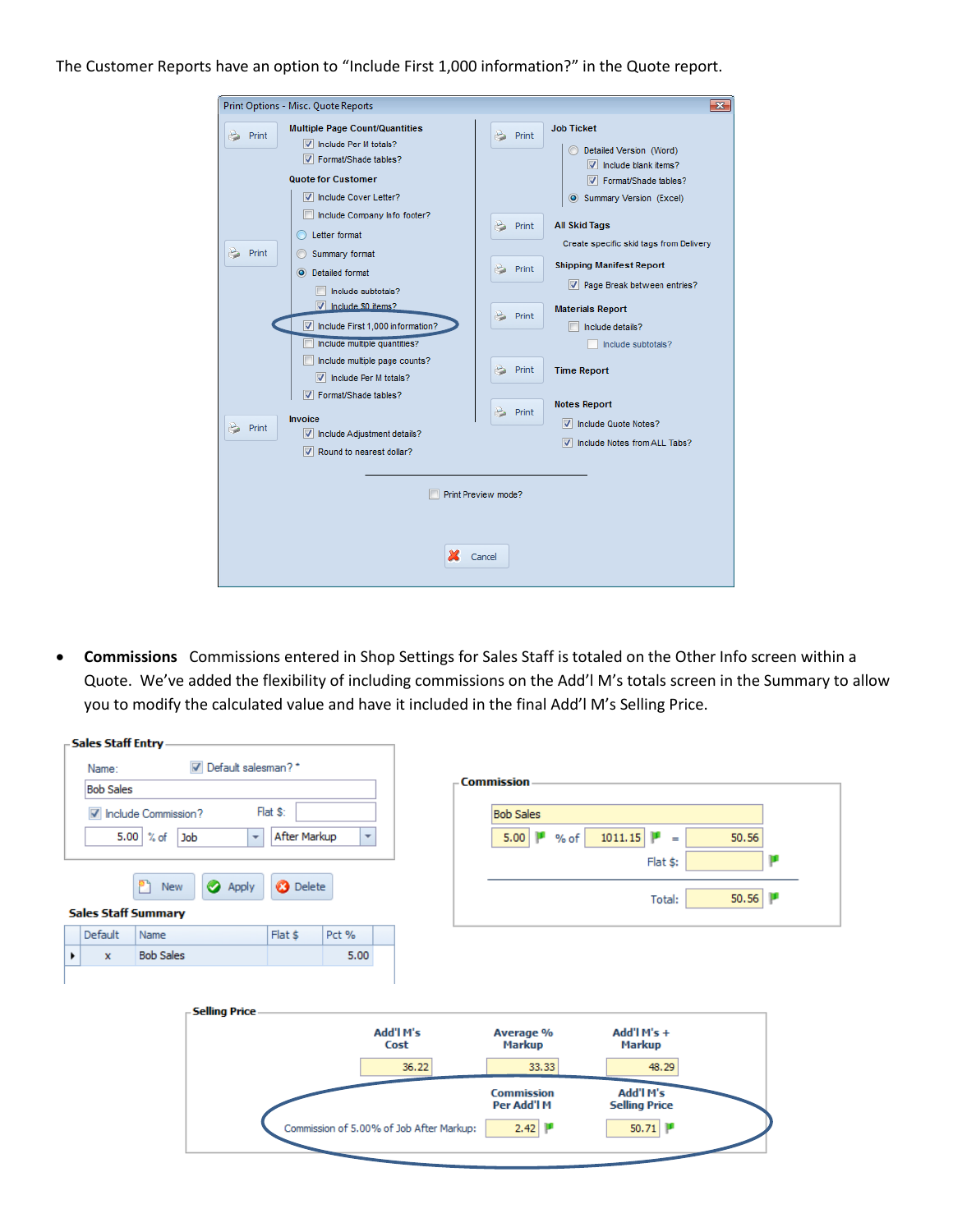## The Customer Reports have an option to "Include First 1,000 information?" in the Quote report.

| $\overline{\mathbf{x}}$<br>Print Options - Misc. Quote Reports                                                                                                                                                                                                                                                                                                                                                                                                                                                         |                                                                                                                                                                                                                                                                                                                                                                                                                                    |  |  |  |  |  |  |  |  |  |
|------------------------------------------------------------------------------------------------------------------------------------------------------------------------------------------------------------------------------------------------------------------------------------------------------------------------------------------------------------------------------------------------------------------------------------------------------------------------------------------------------------------------|------------------------------------------------------------------------------------------------------------------------------------------------------------------------------------------------------------------------------------------------------------------------------------------------------------------------------------------------------------------------------------------------------------------------------------|--|--|--|--|--|--|--|--|--|
| <b>Multiple Page Count/Quantities</b><br>Print<br>V Include Per M totals?<br>V Format/Shade tables?<br><b>Quote for Customer</b><br>IV Include Cover Letter?<br>Include Company Info footer?<br>Letter format<br>Print<br>Summary format<br>Detailed format<br>$\circ$<br>Include subtotals?<br>V Include \$0 items?<br>Include First 1,000 information?<br>Include multiple quantities?<br>Include multiple page counts?<br>$\triangledown$ Include Per M totals?<br>Format/Shade tables?<br>$\overline{\mathcal{L}}$ | <b>Job Ticket</b><br>Print<br>b<br>Detailed Version (Word)<br>$\triangledown$ include blank items?<br>V Format/Shade tables?<br>Summary Version (Excel)<br><b>All Skid Tags</b><br>Print<br>Create specific skid tags from Delivery<br><b>Shipping Manifest Report</b><br>Print<br>۵<br>√ Page Break between entries?<br><b>Materials Report</b><br>Print<br>Include details?<br>Include subtotals?<br>Print<br><b>Time Report</b> |  |  |  |  |  |  |  |  |  |
| Invoice<br>Print<br>Include Adjustment details?<br>Round to nearest dollar?<br>V                                                                                                                                                                                                                                                                                                                                                                                                                                       | <b>Notes Report</b><br>Print<br>Include Quote Notes?<br>V<br>Include Notes from ALL Tabs?<br>Print Preview mode?<br>Cancel                                                                                                                                                                                                                                                                                                         |  |  |  |  |  |  |  |  |  |

 **Commissions** Commissions entered in Shop Settings for Sales Staff is totaled on the Other Info screen within a Quote. We've added the flexibility of including commissions on the Add'l M's totals screen in the Summary to allow you to modify the calculated value and have it included in the final Add'l M's Selling Price.

| $\boxed{\triangledown}$ Default salesman? *<br>Name:<br><b>Commission</b><br><b>Bob Sales</b><br>Flat \$:<br>M Include Commission?<br><b>Bob Sales</b><br>5.00 $%$ of<br>After Markup<br>Job<br>5.00<br>1011.15<br>$\overline{\mathbf{v}}$<br>$\overline{\phantom{a}}$<br>% of<br>$\equiv$<br>Flat \$:<br>የነ | 50.56<br>п |
|--------------------------------------------------------------------------------------------------------------------------------------------------------------------------------------------------------------------------------------------------------------------------------------------------------------|------------|
|                                                                                                                                                                                                                                                                                                              |            |
|                                                                                                                                                                                                                                                                                                              |            |
|                                                                                                                                                                                                                                                                                                              |            |
|                                                                                                                                                                                                                                                                                                              |            |
|                                                                                                                                                                                                                                                                                                              |            |
| <b>O</b> Delete<br><b>Apply</b><br><b>New</b><br>Total:<br><b>Sales Staff Summary</b>                                                                                                                                                                                                                        | 50.56      |
| Default<br>Flat \$<br>Pct %<br>Name                                                                                                                                                                                                                                                                          |            |
| <b>Bob Sales</b><br>5.00<br>$\mathbf{x}$                                                                                                                                                                                                                                                                     |            |
|                                                                                                                                                                                                                                                                                                              |            |
| <b>Selling Price</b>                                                                                                                                                                                                                                                                                         |            |
| Add'l M's<br>Add'l $M's +$<br>Average %<br>Markup<br><b>Markup</b><br>Cost                                                                                                                                                                                                                                   |            |
| 33.33<br>48.29<br>36.22                                                                                                                                                                                                                                                                                      |            |
| Add'l M's<br><b>Commission</b><br>Per Add'l M<br><b>Selling Price</b>                                                                                                                                                                                                                                        |            |
| 50.71<br>Commission of 5.00% of Job After Markup:<br>2.42                                                                                                                                                                                                                                                    |            |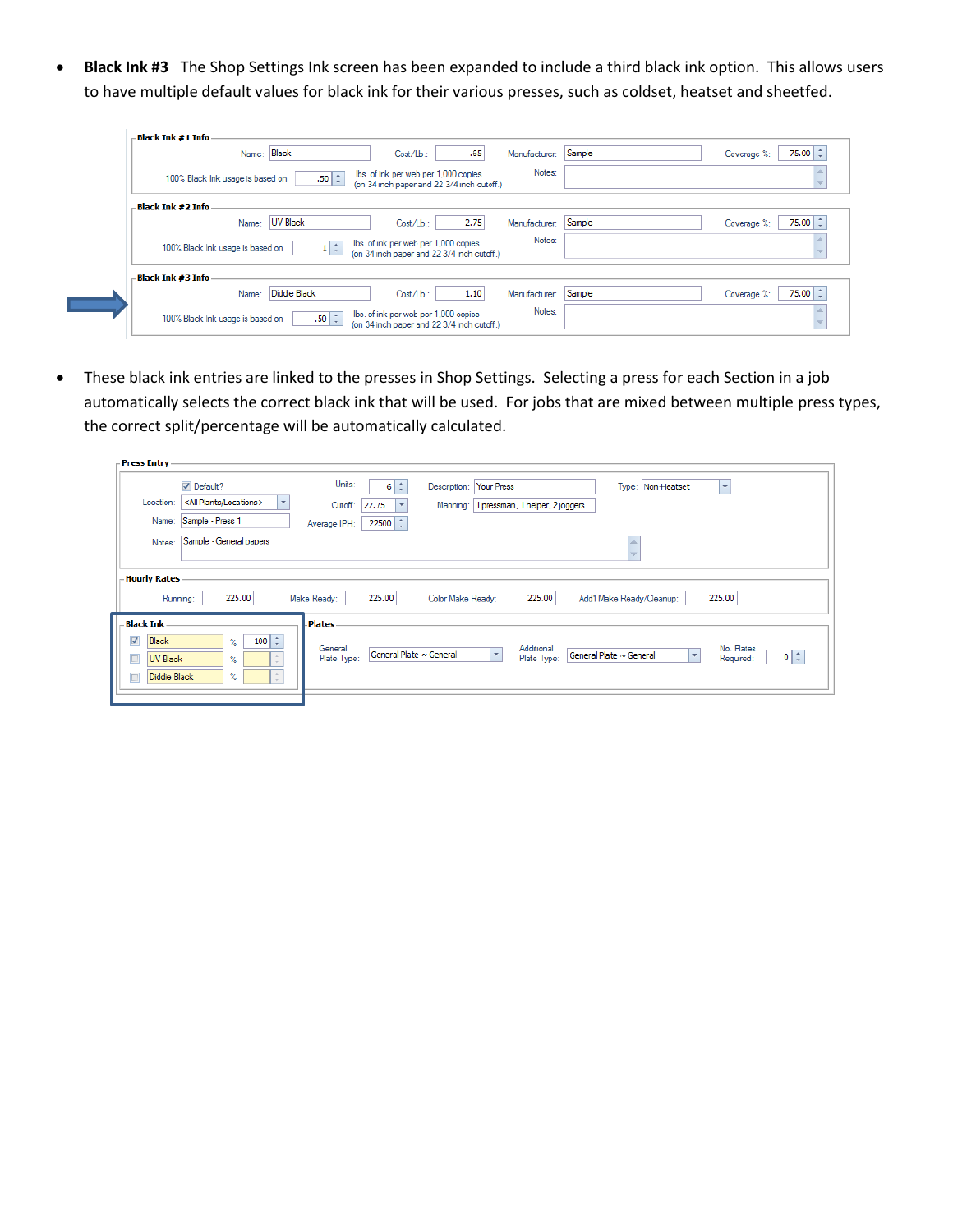**Black Ink #3** The Shop Settings Ink screen has been expanded to include a third black ink option. This allows users to have multiple default values for black ink for their various presses, such as coldset, heatset and sheetfed.

| - Black Ink #1 Info -            |                   |                                                                                    |      |               |        |                             |
|----------------------------------|-------------------|------------------------------------------------------------------------------------|------|---------------|--------|-----------------------------|
| Name: Black                      |                   | $Cost/Lb$ .:                                                                       | .65  | Manufacturer: | Sample | 75.00 $\div$<br>Coverage %: |
| 100% Black Ink usage is based on | $.50 \mid z \mid$ | lbs, of ink per web per 1,000 copies<br>(on 34 inch paper and 22 3/4 inch cutoff.) |      | Notes:        |        |                             |
| - Black Ink #2 Info              |                   |                                                                                    |      |               |        |                             |
| Name:                            | UV Black          | Cost/Lb.:                                                                          | 2.75 | Manufacturer: | Sample | $75.00 \div$<br>Coverage %: |
| 100% Black Ink usage is based on | $1 \mid \hat{z}$  | lbs, of ink per web per 1,000 copies<br>(on 34 inch paper and 22 3/4 inch cutoff.) |      | Notes:        |        |                             |
| - Black Ink #3 Info              |                   |                                                                                    |      |               |        |                             |
| Name:                            | Diddie Black      | Cost/Lb.:                                                                          | 1.10 | Manufacturer: | Sample | 75.00 $\pm$<br>Coverage %:  |
| 100% Black Ink usage is based on | $.50 \mid z \mid$ | lbs, of ink per web per 1,000 copies<br>(on 34 inch paper and 22 3/4 inch cutoff.) |      | Notes:        |        |                             |

 These black ink entries are linked to the presses in Shop Settings. Selecting a press for each Section in a job automatically selects the correct black ink that will be used. For jobs that are mixed between multiple press types, the correct split/percentage will be automatically calculated.

| <b>▽</b> Default?                                                                            | Units:<br>$6 \div$<br>Your Press<br>Type: Non-Heatset<br>Description:<br>$\mathbf{v}$                                                                                                                                       |
|----------------------------------------------------------------------------------------------|-----------------------------------------------------------------------------------------------------------------------------------------------------------------------------------------------------------------------------|
| <all locations="" plants=""><br/><math display="inline">\overline{\phantom{a}}</math></all>  | Cutoff:<br>22.75<br>1 pressman, 1 helper, 2 joggers<br>Manning:<br>$\overline{\phantom{a}}$                                                                                                                                 |
| Sample - Press 1                                                                             | $22500$ $\div$<br>Average IPH:                                                                                                                                                                                              |
| Sample - General papers                                                                      |                                                                                                                                                                                                                             |
| 225.00                                                                                       | 225.00<br>225.00<br>225.00<br>Make Ready:<br>Color Make Ready:<br>Add'l Make Ready/Cleanup:                                                                                                                                 |
| $100$ $\div$<br>$\gamma_{\circ}$<br>$\Delta_{\rm c}$<br>%<br>$\sim$<br>$\sim$<br>%<br>$\sim$ | <b>Plates</b><br>No. Plates<br>General<br>Additional<br>$\overline{\phantom{a}}$<br>General Plate ~ General<br>General Plate ~ General<br>$0$ $\div$<br>$\overline{\phantom{a}}$<br>Plate Type:<br>Plate Type:<br>Required: |
|                                                                                              | <b>Hourly Rates</b><br>Running:<br>UV Black<br>Diddie Black                                                                                                                                                                 |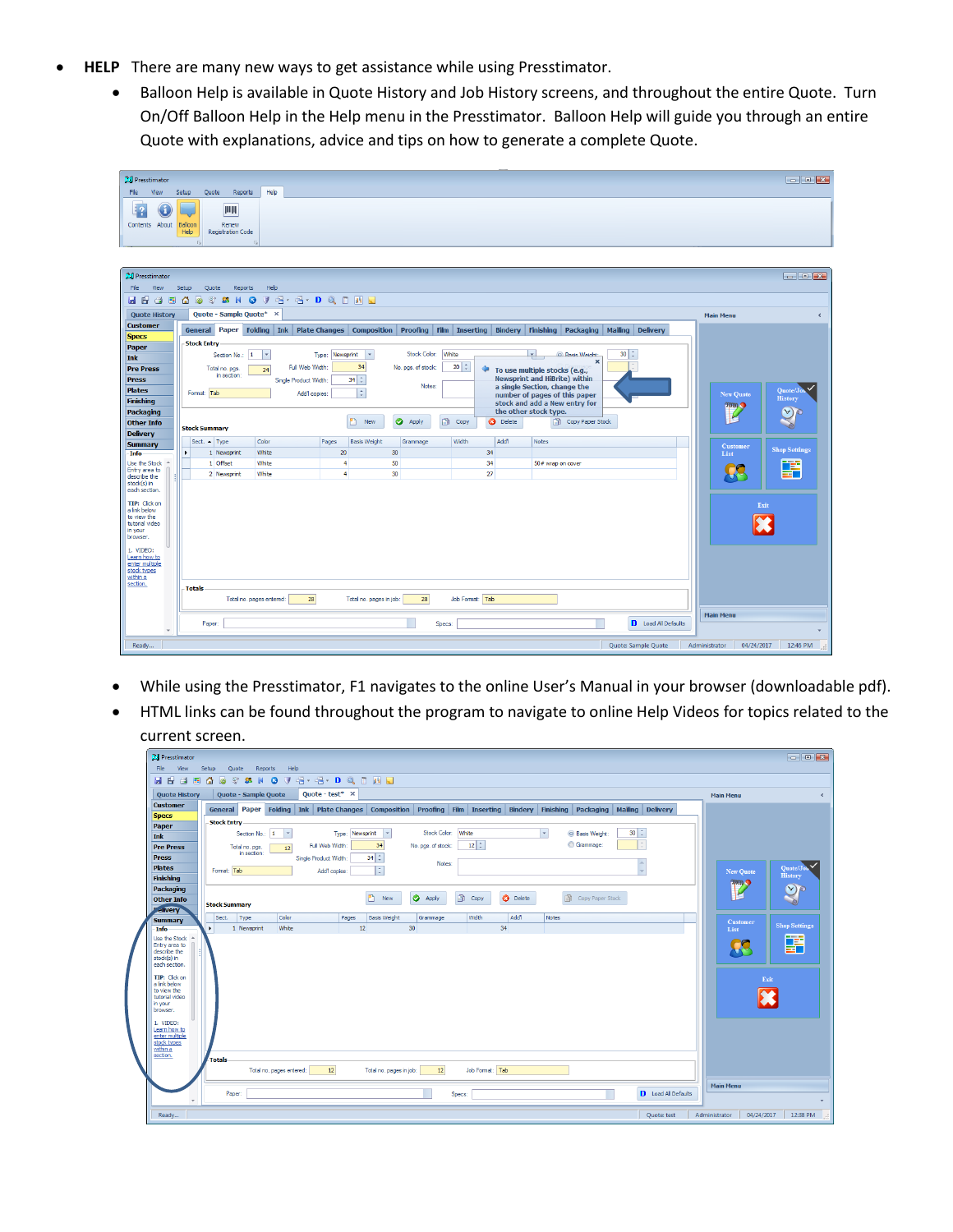- **HELP** There are many new ways to get assistance while using Presstimator.
	- Balloon Help is available in Quote History and Job History screens, and throughout the entire Quote. Turn On/Off Balloon Help in the Help menu in the Presstimator. Balloon Help will guide you through an entire Quote with explanations, advice and tips on how to generate a complete Quote.

| 24 Presstimator                      |         |                      |                                |                           |                      |                 |                           |                    |           |                 |                                                                       |                                                                                                                         |                  | $\Box$ $\Box$ $\Box$         |
|--------------------------------------|---------|----------------------|--------------------------------|---------------------------|----------------------|-----------------|---------------------------|--------------------|-----------|-----------------|-----------------------------------------------------------------------|-------------------------------------------------------------------------------------------------------------------------|------------------|------------------------------|
| File<br>View                         | Setup   | Quote                | Reports                        | Help                      |                      |                 |                           |                    |           |                 |                                                                       |                                                                                                                         |                  |                              |
| J<br>Contents About                  | Balloon |                      | <b>IIIIII</b><br>Renew         |                           |                      |                 |                           |                    |           |                 |                                                                       |                                                                                                                         |                  |                              |
|                                      | Help    |                      | <b>Registration Code</b>       |                           |                      |                 |                           |                    |           |                 |                                                                       |                                                                                                                         |                  |                              |
|                                      |         |                      |                                | $\overline{u}$            |                      |                 |                           |                    |           |                 |                                                                       |                                                                                                                         |                  |                              |
| 24 Presstimator                      |         |                      |                                |                           |                      |                 |                           |                    |           |                 |                                                                       |                                                                                                                         |                  | $\boxed{-1}$                 |
| File<br>View                         | Setup   |                      | Quote<br>Reports               | Help                      |                      |                 |                           |                    |           |                 |                                                                       |                                                                                                                         |                  |                              |
| 日日<br>⊌<br>區                         | Δ       | G                    | g,<br><b>SHO</b>               | $\mathbb{F}$              | $-3-3-1$             |                 |                           |                    |           |                 |                                                                       |                                                                                                                         |                  |                              |
| <b>Quote History</b>                 |         |                      |                                | Quote - Sample Quote* X   |                      |                 |                           |                    |           |                 |                                                                       |                                                                                                                         | <b>Main Menu</b> | $\left\langle \right\rangle$ |
| <b>Customer</b><br><b>Specs</b>      |         |                      |                                |                           |                      |                 |                           |                    |           |                 |                                                                       | General Paper Folding Ink PlateChanges Composition Proofing Film Inserting Bindery Finishing Packaging Mailing Delivery |                  |                              |
| Paper                                |         | <b>Stock Entry</b>   |                                | $\mathbf{1}$              |                      |                 |                           | Stock Color: White |           |                 | $\overline{ }$<br><b>C</b> Rasis Weight:                              | $30$ $\div$                                                                                                             |                  |                              |
| Ink<br><b>Pre Press</b>              |         |                      | Section No.:<br>Total no. pgs. | $\vert \cdot \vert$<br>24 | Full Web Width:      | Type: Newsprint | $\vert \cdot \vert$<br>34 | No. pgs. of stock: | $20 \div$ | ⇔               |                                                                       | $\boldsymbol{\mathsf{x}}$                                                                                               |                  |                              |
| <b>Press</b>                         |         |                      | in section:                    |                           | Single Product Width |                 | $34 \div$                 |                    |           |                 | To use multiple stocks (e.g.,<br><b>Newsprint and HiBrite) within</b> |                                                                                                                         |                  |                              |
| <b>Plates</b><br><b>Finishing</b>    |         | Format: Tab          |                                |                           | Add1 copies:         |                 | ÷                         | Notes:             |           |                 | a single Section, change the<br>number of pages of this paper         |                                                                                                                         | <b>New Quote</b> | v<br>Quote/Jo<br>History     |
| <b>Packaging</b>                     |         |                      |                                |                           |                      |                 |                           |                    |           |                 | stock and add a New entry for<br>the other stock type.                |                                                                                                                         | <b>Time</b><br>P | $\circlearrowright$<br>k.    |
| <b>Other Info</b><br><b>Delivery</b> |         | <b>Stock Summary</b> |                                |                           |                      |                 | New                       | ●<br>Apply         | ß<br>Copy | <b>3</b> Delete | Copy Paper Stock<br>€                                                 |                                                                                                                         |                  |                              |
| <b>Summary</b>                       |         | Sect. $-$ Type       |                                | Color                     |                      | Pages           | <b>Basis Weight</b>       | Grammage           | Width     | Add'l           | <b>Notes</b>                                                          |                                                                                                                         | Customer         | <b>Shop Settings</b>         |
| Info<br>Use the Stock                | ٠       |                      | 1 Newsprint<br>1 Offset        | White<br>White            |                      | 20<br>4         |                           | 30<br>50           |           | 34<br>34        | 50# wrap on cover                                                     |                                                                                                                         | List             |                              |
| Entry area to<br>describe the        |         |                      | 2 Newsprint                    | White                     |                      | $\ddot{ }$      |                           | 30                 |           | 27              |                                                                       |                                                                                                                         |                  | F                            |
| stock(s) in<br>each section.         |         |                      |                                |                           |                      |                 |                           |                    |           |                 |                                                                       |                                                                                                                         |                  |                              |
| TIP: Click on<br>a link below        |         |                      |                                |                           |                      |                 |                           |                    |           |                 |                                                                       |                                                                                                                         |                  | Exit                         |
| to view the<br>tutorial video        |         |                      |                                |                           |                      |                 |                           |                    |           |                 |                                                                       |                                                                                                                         |                  |                              |
| in your<br>browser.                  |         |                      |                                |                           |                      |                 |                           |                    |           |                 |                                                                       |                                                                                                                         |                  |                              |
| 1. VIDEO:<br>Learn how to            |         |                      |                                |                           |                      |                 |                           |                    |           |                 |                                                                       |                                                                                                                         |                  |                              |
| enter multiple<br>stock types        |         |                      |                                |                           |                      |                 |                           |                    |           |                 |                                                                       |                                                                                                                         |                  |                              |
| within a<br>section.                 |         | <b>Totals</b>        |                                |                           |                      |                 |                           |                    |           |                 |                                                                       |                                                                                                                         |                  |                              |
|                                      |         |                      |                                | Total no. pages entered:  | 28                   |                 | Total no. pages in job:   | 28                 |           | Job Format: Tab |                                                                       |                                                                                                                         |                  |                              |
|                                      |         | Paper:               |                                |                           |                      |                 |                           |                    | Specs:    |                 |                                                                       | D Load All Defaults                                                                                                     | <b>Main Menu</b> |                              |
|                                      |         |                      |                                |                           |                      |                 |                           |                    |           |                 |                                                                       |                                                                                                                         |                  |                              |
| Ready                                |         |                      |                                |                           |                      |                 |                           |                    |           |                 |                                                                       | Quote: Sample Quote                                                                                                     | Administrator    | 04/24/2017<br>12:46 PM       |

- While using the Presstimator, F1 navigates to the online User's Manual in your browser (downloadable pdf).
- HTML links can be found throughout the program to navigate to online Help Videos for topics related to the current screen.

| 2 Presstimator                   |                                                                                                            |                      |                          |                                    |                 |                          |                    |                 |                  |                          |                        |                                                                                                                         |                             | $\boxed{-1}$          |
|----------------------------------|------------------------------------------------------------------------------------------------------------|----------------------|--------------------------|------------------------------------|-----------------|--------------------------|--------------------|-----------------|------------------|--------------------------|------------------------|-------------------------------------------------------------------------------------------------------------------------|-----------------------------|-----------------------|
| File<br>View                     | Setup                                                                                                      | Quote                | Reports<br>Help          |                                    |                 |                          |                    |                 |                  |                          |                        |                                                                                                                         |                             |                       |
| <b>HE 3</b><br>圃                 | a.<br>G                                                                                                    |                      |                          | <b>S S K G F E . E . D Q I N L</b> |                 |                          |                    |                 |                  |                          |                        |                                                                                                                         |                             |                       |
| <b>Quote History</b>             |                                                                                                            | Quote - Sample Quote |                          | Quote - test* $\times$             |                 |                          |                    |                 |                  |                          |                        |                                                                                                                         | <b>Main Menu</b>            | $\epsilon$            |
| <b>Customer</b>                  |                                                                                                            |                      |                          |                                    |                 |                          |                    |                 |                  |                          |                        | General Paper Folding Ink PlateChanges Composition Proofing Film Inserting Bindery Finishing Packaging Mailing Delivery |                             |                       |
| <b>Specs</b>                     | <b>Stock Entry</b>                                                                                         |                      |                          |                                    |                 |                          |                    |                 |                  |                          |                        |                                                                                                                         |                             |                       |
| Paper                            |                                                                                                            | Section No.: 1       | $\overline{\phantom{a}}$ |                                    | Type: Newsprint | $\overline{\phantom{a}}$ | Stock Color: White |                 |                  | $\overline{\phantom{a}}$ | <b>C</b> Basis Weight: | $30 \div$                                                                                                               |                             |                       |
| <b>Ink</b>                       |                                                                                                            |                      |                          | Full Web Width:                    |                 | 34                       | No. pgs. of stock: | $12 \div$       |                  |                          | Grammage:              |                                                                                                                         |                             |                       |
| <b>Pre Press</b><br><b>Press</b> | Total no. pgs.<br>12<br>in section:                                                                        |                      |                          |                                    |                 |                          |                    |                 |                  |                          |                        |                                                                                                                         |                             |                       |
| <b>Plates</b>                    |                                                                                                            |                      |                          | Single Product Width:              |                 | $34 \div$                | Notes:             | $\Delta$        |                  |                          |                        |                                                                                                                         |                             | Quote/Jo              |
| <b>Finishing</b>                 | $\vert \colon$<br>Format: Tab<br>Add1 copies:<br>×                                                         |                      |                          |                                    |                 |                          |                    |                 |                  |                          | <b>New Quote</b>       | History                                                                                                                 |                             |                       |
| Packaging                        |                                                                                                            |                      |                          |                                    |                 |                          |                    |                 |                  |                          |                        |                                                                                                                         | mm <sub>2</sub>             | $\mathcal{O}^{\circ}$ |
| <b>Other Info</b>                | B<br>உ<br>$\bullet$<br>Apply<br><b>3</b> Delete<br>Copy Paper Stock<br>New<br>Copy<br><b>Stock Summary</b> |                      |                          |                                    |                 |                          |                    |                 |                  |                          | P                      |                                                                                                                         |                             |                       |
| <b>Pelivery</b>                  |                                                                                                            |                      |                          |                                    |                 |                          |                    |                 |                  |                          |                        |                                                                                                                         |                             |                       |
| <b>Summary</b>                   | Sect.                                                                                                      | Type                 | Color                    |                                    | Pages           | <b>Basis Weight</b>      | Grammage           | Width           | Add <sup>1</sup> | Notes                    |                        |                                                                                                                         | <b>Customer</b>             | <b>Shop Settings</b>  |
| Info<br>Use the Stock            | $\mathbf{r}$                                                                                               | 1 Newsprint          | White                    |                                    | 12              |                          | 30                 |                 | 34               |                          |                        |                                                                                                                         | List                        |                       |
| Entry area to                    |                                                                                                            |                      |                          |                                    |                 |                          |                    |                 |                  |                          |                        |                                                                                                                         | CC.                         | 語                     |
| describe the<br>stock(s) in      |                                                                                                            |                      |                          |                                    |                 |                          |                    |                 |                  |                          |                        |                                                                                                                         |                             |                       |
| each section.                    |                                                                                                            |                      |                          |                                    |                 |                          |                    |                 |                  |                          |                        |                                                                                                                         |                             |                       |
| TIP: Click on<br>a link below    |                                                                                                            |                      |                          |                                    |                 |                          |                    |                 |                  |                          |                        |                                                                                                                         | Exit                        |                       |
| to view the<br>tutorial video    |                                                                                                            |                      |                          |                                    |                 |                          |                    |                 |                  |                          |                        |                                                                                                                         |                             |                       |
| in your                          |                                                                                                            |                      |                          |                                    |                 |                          |                    |                 |                  |                          |                        |                                                                                                                         |                             |                       |
| browser.                         |                                                                                                            |                      |                          |                                    |                 |                          |                    |                 |                  |                          |                        |                                                                                                                         |                             |                       |
| 1. VIDEO:<br>Learn how to        |                                                                                                            |                      |                          |                                    |                 |                          |                    |                 |                  |                          |                        |                                                                                                                         |                             |                       |
| enter multiple<br>stock types    |                                                                                                            |                      |                          |                                    |                 |                          |                    |                 |                  |                          |                        |                                                                                                                         |                             |                       |
| within a                         |                                                                                                            |                      |                          |                                    |                 |                          |                    |                 |                  |                          |                        |                                                                                                                         |                             |                       |
| section.                         | <b>Totals</b>                                                                                              |                      |                          |                                    |                 |                          |                    |                 |                  |                          |                        |                                                                                                                         |                             |                       |
|                                  |                                                                                                            |                      | Total no. pages entered: | 12                                 |                 | Total no. pages in job:  | 12                 | Job Format: Tab |                  |                          |                        |                                                                                                                         |                             |                       |
|                                  |                                                                                                            |                      |                          |                                    |                 |                          |                    |                 |                  |                          |                        |                                                                                                                         | <b>Main Menu</b>            |                       |
| $\mathbf{v}$                     |                                                                                                            | Paper:               |                          |                                    |                 |                          |                    | Specs:          |                  |                          |                        | D Load All Defaults                                                                                                     |                             |                       |
|                                  |                                                                                                            |                      |                          |                                    |                 |                          |                    |                 |                  |                          |                        |                                                                                                                         |                             |                       |
| Ready                            |                                                                                                            |                      |                          |                                    |                 |                          |                    |                 |                  |                          |                        | Quote: test                                                                                                             | 04/24/2017<br>Administrator | 12:38 PM              |